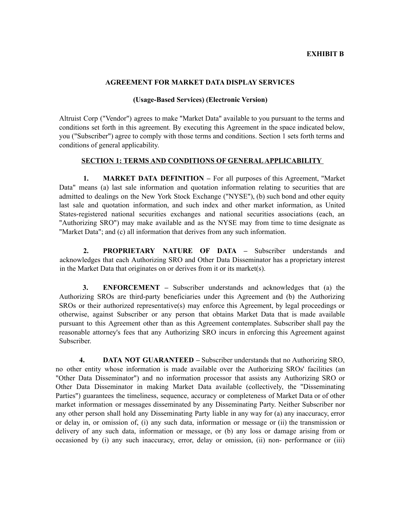## **EXHIBIT B**

## **AGREEMENT FOR MARKET DATA DISPLAY SERVICES**

## **(Usage-Based Services) (Electronic Version)**

Altruist Corp ("Vendor") agrees to make "Market Data" available to you pursuant to the terms and conditions set forth in this agreement. By executing this Agreement in the space indicated below, you ("Subscriber") agree to comply with those terms and conditions. Section 1 sets forth terms and conditions of general applicability.

## **SECTION 1: TERMS AND CONDITIONS OF GENERALAPPLICABILITY**

**1. MARKET DATA DEFINITION –** For all purposes of this Agreement, "Market Data" means (a) last sale information and quotation information relating to securities that are admitted to dealings on the New York Stock Exchange ("NYSE"), (b) such bond and other equity last sale and quotation information, and such index and other market information, as United States-registered national securities exchanges and national securities associations (each, an "Authorizing SRO") may make available and as the NYSE may from time to time designate as "Market Data"; and (c) all information that derives from any such information.

**2. PROPRIETARY NATURE OF DATA –** Subscriber understands and acknowledges that each Authorizing SRO and Other Data Disseminator has a proprietary interest in the Market Data that originates on or derives from it or its market(s).

**3. ENFORCEMENT –** Subscriber understands and acknowledges that (a) the Authorizing SROs are third-party beneficiaries under this Agreement and (b) the Authorizing SROs or their authorized representative(s) may enforce this Agreement, by legal proceedings or otherwise, against Subscriber or any person that obtains Market Data that is made available pursuant to this Agreement other than as this Agreement contemplates. Subscriber shall pay the reasonable attorney's fees that any Authorizing SRO incurs in enforcing this Agreement against Subscriber.

**4. DATA NOT GUARANTEED –** Subscriber understands that no Authorizing SRO, no other entity whose information is made available over the Authorizing SROs' facilities (an "Other Data Disseminator") and no information processor that assists any Authorizing SRO or Other Data Disseminator in making Market Data available (collectively, the "Disseminating Parties") guarantees the timeliness, sequence, accuracy or completeness of Market Data or of other market information or messages disseminated by any Disseminating Party. Neither Subscriber nor any other person shall hold any Disseminating Party liable in any way for (a) any inaccuracy, error or delay in, or omission of, (i) any such data, information or message or (ii) the transmission or delivery of any such data, information or message, or (b) any loss or damage arising from or occasioned by (i) any such inaccuracy, error, delay or omission, (ii) non- performance or (iii)